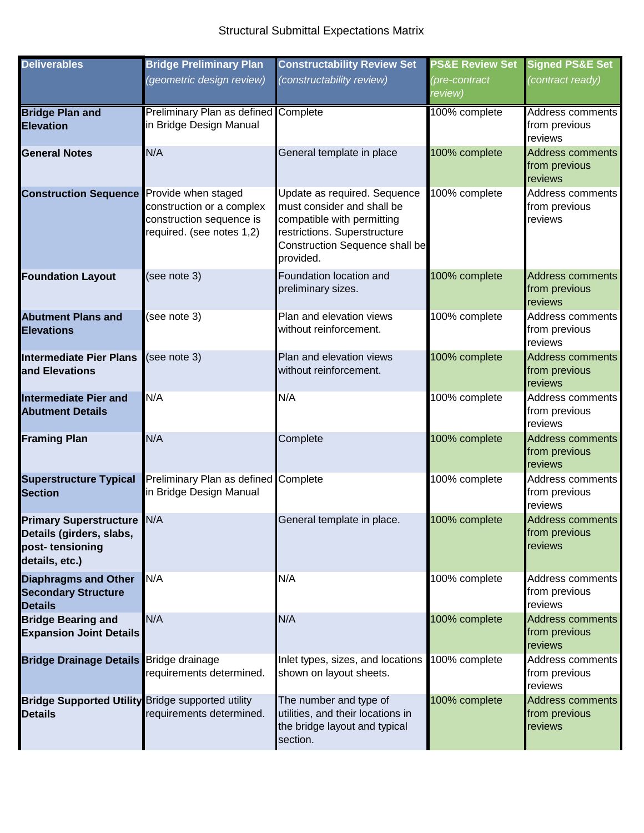## Structural Submittal Expectations Matrix

| <b>Deliverables</b>                                                                                | <b>Bridge Preliminary Plan</b>                                                     | <b>Constructability Review Set</b>                                                                                                                                      | <b>PS&amp;E Review Set</b> | <b>Signed PS&amp;E Set</b>                          |
|----------------------------------------------------------------------------------------------------|------------------------------------------------------------------------------------|-------------------------------------------------------------------------------------------------------------------------------------------------------------------------|----------------------------|-----------------------------------------------------|
|                                                                                                    | (geometric design review)                                                          | (constructability review)                                                                                                                                               | (pre-contract<br>review)   | (contract ready)                                    |
| <b>Bridge Plan and</b><br><b>Elevation</b>                                                         | <b>Preliminary Plan as defined Complete</b><br>in Bridge Design Manual             |                                                                                                                                                                         | 100% complete              | Address comments<br>from previous<br>reviews        |
| <b>General Notes</b>                                                                               | N/A                                                                                | General template in place                                                                                                                                               | 100% complete              | <b>Address comments</b><br>from previous<br>reviews |
| <b>Construction Sequence</b> Provide when staged                                                   | construction or a complex<br>construction sequence is<br>required. (see notes 1,2) | Update as required. Sequence<br>must consider and shall be<br>compatible with permitting<br>restrictions. Superstructure<br>Construction Sequence shall be<br>provided. | 100% complete              | Address comments<br>from previous<br>reviews        |
| <b>Foundation Layout</b>                                                                           | (see note 3)                                                                       | Foundation location and<br>preliminary sizes.                                                                                                                           | 100% complete              | <b>Address comments</b><br>from previous<br>reviews |
| <b>Abutment Plans and</b><br><b>Elevations</b>                                                     | (see note 3)                                                                       | Plan and elevation views<br>without reinforcement.                                                                                                                      | 100% complete              | Address comments<br>from previous<br>reviews        |
| <b>Intermediate Pier Plans</b><br>and Elevations                                                   | (see note 3)                                                                       | Plan and elevation views<br>without reinforcement.                                                                                                                      | 100% complete              | <b>Address comments</b><br>from previous<br>reviews |
| <b>Intermediate Pier and</b><br><b>Abutment Details</b>                                            | N/A                                                                                | N/A                                                                                                                                                                     | 100% complete              | Address comments<br>from previous<br>reviews        |
| <b>Framing Plan</b>                                                                                | N/A                                                                                | Complete                                                                                                                                                                | 100% complete              | <b>Address comments</b><br>from previous<br>reviews |
| <b>Superstructure Typical</b><br><b>Section</b>                                                    | Preliminary Plan as defined Complete<br>in Bridge Design Manual                    |                                                                                                                                                                         | 100% complete              | Address comments<br>from previous<br>reviews        |
| <b>Primary Superstructure N/A</b><br>Details (girders, slabs,<br>post-tensioning<br>details, etc.) |                                                                                    | General template in place.                                                                                                                                              | 100% complete              | <b>Address comments</b><br>from previous<br>reviews |
| <b>Diaphragms and Other</b><br><b>Secondary Structure</b><br><b>Details</b>                        | N/A                                                                                | N/A                                                                                                                                                                     | 100% complete              | Address comments<br>from previous<br>reviews        |
| <b>Bridge Bearing and</b><br><b>Expansion Joint Details</b>                                        | N/A                                                                                | N/A                                                                                                                                                                     | 100% complete              | <b>Address comments</b><br>from previous<br>reviews |
| <b>Bridge Drainage Details Bridge drainage</b>                                                     | requirements determined.                                                           | Inlet types, sizes, and locations<br>shown on layout sheets.                                                                                                            | 100% complete              | Address comments<br>from previous<br>reviews        |
| <b>Bridge Supported Utility Bridge supported utility</b><br><b>Details</b>                         | requirements determined.                                                           | The number and type of<br>utilities, and their locations in<br>the bridge layout and typical<br>section.                                                                | 100% complete              | Address comments<br>from previous<br>reviews        |